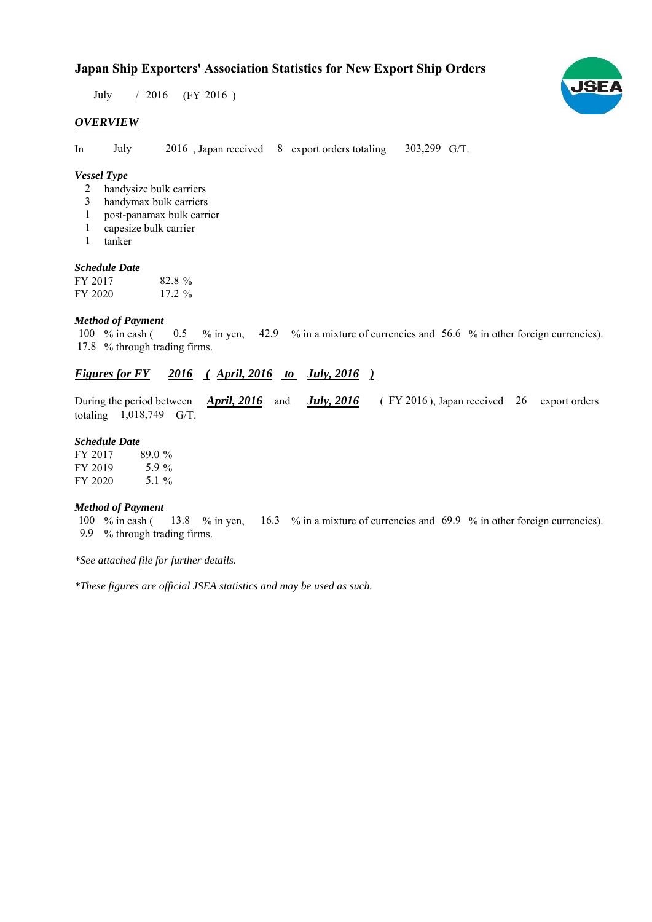## **Japan Ship Exporters' Association Statistics for New Export Ship Orders**

July / 2016 (FY 2016)

#### *OVERVIEW*

In July 2016, Japan received 8 export orders totaling 303,299 G/T.

#### *Vessel Type*

- handysize bulk carriers 2
- handymax bulk carriers 3
- post-panamax bulk carrier 1
- capesize bulk carrier 1
- tanker 1

#### *Schedule Date*

| FY 2017 | $82.8\%$  |
|---------|-----------|
| FY 2020 | $17.2 \%$ |

#### *Method of Payment*

% in cash ( $\qquad 0.5 \qquad$ % in yen,  $\qquad 42.9 \qquad$ % in a mixture of currencies and  $\qquad 56.6 \qquad$ % in other foreign currencies). % through trading firms. 17.8 100  $%$  in cash (

## *<u>Figures for FY 2016 (April, 2016 to July, 2016)</u>*

During the period between *April, 2016* and *July, 2016* (FY 2016), Japan received 26 export orders totaling  $1,018,749$  G/T.

#### *Schedule Date*

| FY 2017 | 89.0%    |
|---------|----------|
| FY 2019 | 5.9 $\%$ |
| FY 2020 | 5.1 %    |

#### *Method of Payment*

100 % in cash (13.8 % in yen, 16.3 % in a mixture of currencies and 69.9 % in other foreign currencies). % through trading firms. 9.9

*\*See attached file for further details.*

*\*These figures are official JSEA statistics and may be used as such.*

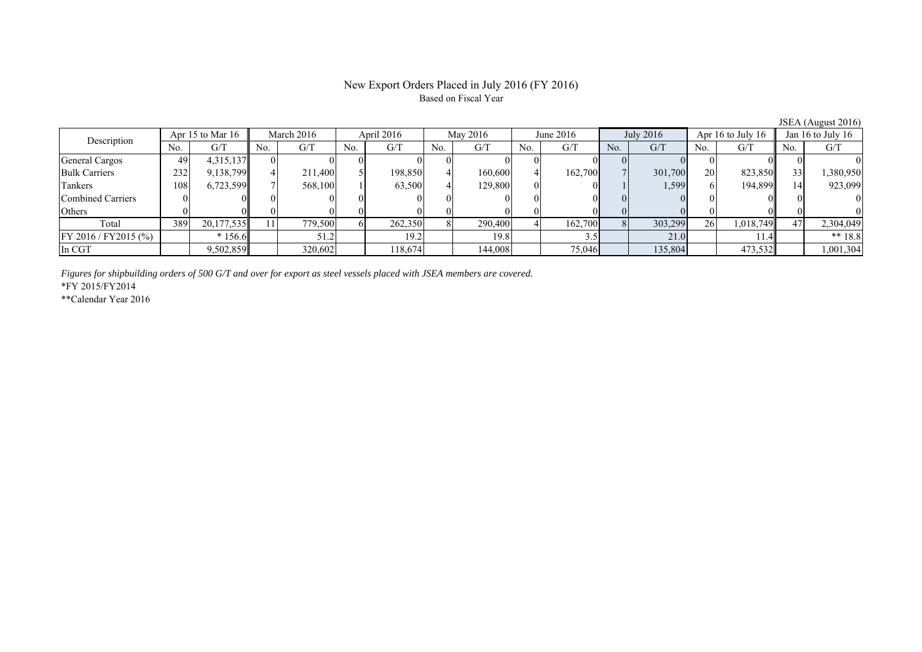### New Export Orders Placed in July 2016 (FY 2016) Based on Fiscal Year

| $\frac{1}{2}$                   |     |                          |     |          |     |                          |     |         |                       |         |                   |         |                 |           |     |           |
|---------------------------------|-----|--------------------------|-----|----------|-----|--------------------------|-----|---------|-----------------------|---------|-------------------|---------|-----------------|-----------|-----|-----------|
| Apr 15 to Mar 16<br>Description |     | April 2016<br>March 2016 |     | May 2016 |     | July 2016<br>June $2016$ |     |         | Apr $16$ to July $16$ |         | Jan 16 to July 16 |         |                 |           |     |           |
|                                 | No. | G/T                      | No. | G/T      | No. | G/T                      | No. | G/T     | No.                   | G/T     | No.               | G/T     | No.             | G/T       | No. | G/T       |
| General Cargos                  | 49  | 4,315,137                |     |          |     |                          |     |         |                       |         |                   |         |                 |           |     |           |
| <b>Bulk Carriers</b>            | 232 | 9,138,799                |     | 211,400  |     | 198,850                  |     | 160,600 |                       | 162,700 |                   | 301,700 | 20 <sup>1</sup> | 823,850   | 33  | 1,380,950 |
| Tankers                         | 108 | 6,723,599                |     | 568,100  |     | 63,500                   |     | 129,800 |                       |         |                   | 1,599   |                 | 194,899   |     | 923,099   |
| Combined Carriers               |     |                          |     |          |     |                          |     |         |                       |         |                   |         |                 |           |     |           |
| Others                          |     |                          |     |          |     |                          |     |         |                       |         |                   |         |                 |           |     |           |
| Total                           | 389 | 20,177,535               |     | 779,500  |     | 262,350                  |     | 290,400 |                       | 162,700 |                   | 303,299 | 26              | 1,018,749 |     | 2,304,049 |
| FY 2016 / FY2015 (%)            |     | $*156.6$                 |     | 51.2     |     | 19.2                     |     | 19.8    |                       |         |                   | 21.0    |                 |           |     | ** $18.8$ |
| In CGT                          |     | 9,502,859                |     | 320,602  |     | 118,674                  |     | 144,008 |                       | 75,046  |                   | 135,804 |                 | 473,532   |     | 1,001,304 |

*Figures for shipbuilding orders of 500 G/T and over for export as steel vessels placed with JSEA members are covered.*

\*FY 2015/FY2014

\*\*Calendar Year 2016

JSEA (August 2016)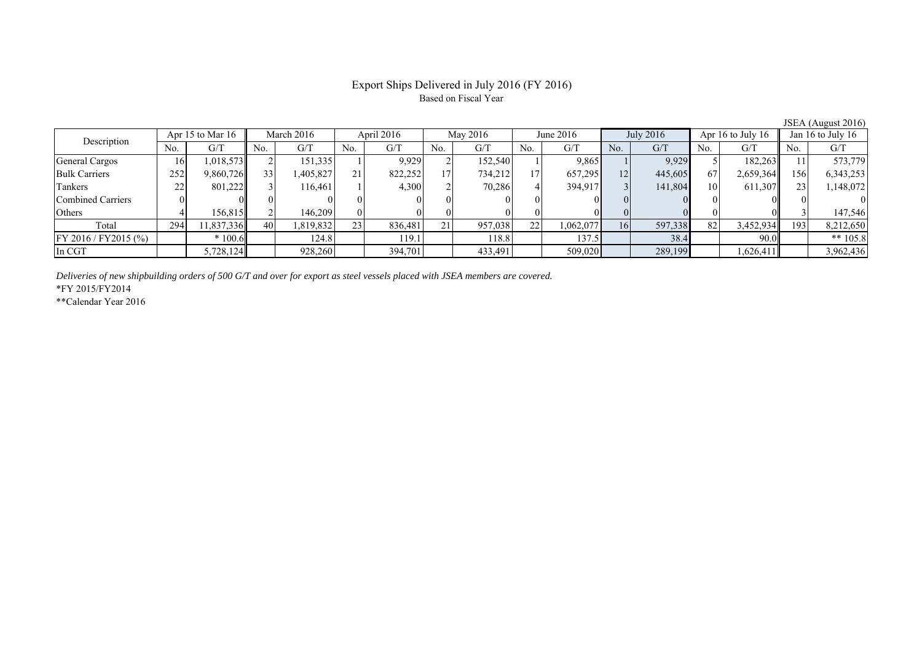## Export Ships Delivered in July 2016 (FY 2016) Based on Fiscal Year

| $JOLA$ (August 2010)  |     |                  |     |            |     |            |                 |          |                 |           |                |           |     |                   |     |                   |
|-----------------------|-----|------------------|-----|------------|-----|------------|-----------------|----------|-----------------|-----------|----------------|-----------|-----|-------------------|-----|-------------------|
| Description           |     | Apr 15 to Mar 16 |     | March 2016 |     | April 2016 |                 | May 2016 |                 | June 2016 |                | July 2016 |     | Apr 16 to July 16 |     | Jan 16 to July 16 |
|                       | No. | G/T              | No. | G/T        | No. | G/T        | No.             | G/T      | No.             | G/T       | N <sub>o</sub> | G/T       | No. | G/T               | No. | G/T               |
| General Cargos        | 16  | 1,018,573        |     | 151,335    |     | 9,929      |                 | 152,540  |                 | 9,865     |                | 9,929     |     | 182,263           |     | 573,779           |
| <b>Bulk Carriers</b>  | 252 | 9,860,726        | 33  | ,405,827   | 21  | 822,252    | 17 <sub>1</sub> | 734,212  | 17 <sup>1</sup> | 657,295   | 12             | 445,605   | 67  | 2,659,364         | 156 | 6,343,253         |
| Tankers               | 22  | 801,222          |     | 116.461    |     | 4,300      |                 | 70,286   |                 | 394,917   |                | 141,804   | 10  | 611,307           |     | 1,148,072         |
| Combined Carriers     |     |                  |     |            |     |            |                 |          |                 |           |                |           |     |                   |     |                   |
| Others                |     | 156,815          |     | 146.209    |     |            |                 |          |                 |           |                |           |     |                   |     | 147,546           |
| Total                 | 294 | 11,837,336       | 40  | .819,832   | 23  | 836.481    | 21              | 957,038  | 22              | 1,062,077 | 16             | 597,338   | 82  | 3,452,934         | 193 | 8,212,650         |
| FY 2016 / FY 2015 (%) |     | $*100.6$         |     | 124.8      |     | 119.1      |                 | 118.8    |                 | 137.5     |                | 38.4      |     | 90.0              |     | ** $105.8$        |
| In CGT                |     | 5,728,124        |     | 928,260    |     | 394,701    |                 | 433,491  |                 | 509,020   |                | 289,199   |     | 1,626,411         |     | 3,962,436         |

*Deliveries of new shipbuilding orders of 500 G/T and over for export as steel vessels placed with JSEA members are covered.*

\*FY 2015/FY2014

\*\*Calendar Year 2016

JSEA (August 2016)